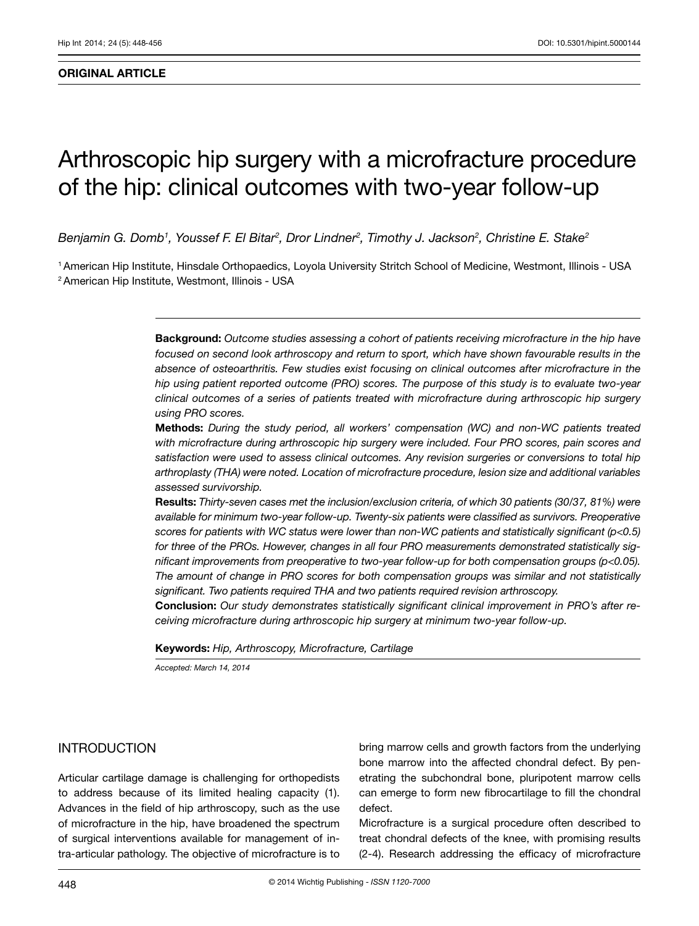# Arthroscopic hip surgery with a microfracture procedure of the hip: clinical outcomes with two-year follow-up

Benjamin G. Domb<sup>1</sup>, Youssef F. El Bitar<sup>2</sup>, Dror Lindner<sup>2</sup>, Timothy J. Jackson<sup>2</sup>, Christine E. Stake<sup>2</sup>

1American Hip Institute, Hinsdale Orthopaedics, Loyola University Stritch School of Medicine, Westmont, Illinois - USA 2American Hip Institute, Westmont, Illinois - USA

> **Background:** *Outcome studies assessing a cohort of patients receiving microfracture in the hip have focused on second look arthroscopy and return to sport, which have shown favourable results in the absence of osteoarthritis. Few studies exist focusing on clinical outcomes after microfracture in the hip using patient reported outcome (PRO) scores. The purpose of this study is to evaluate two-year clinical outcomes of a series of patients treated with microfracture during arthroscopic hip surgery using PRO scores.*

> **Methods:** *During the study period, all workers' compensation (WC) and non-WC patients treated with microfracture during arthroscopic hip surgery were included. Four PRO scores, pain scores and satisfaction were used to assess clinical outcomes. Any revision surgeries or conversions to total hip arthroplasty (THA) were noted. Location of microfracture procedure, lesion size and additional variables assessed survivorship.*

> **Results:** *Thirty-seven cases met the inclusion/exclusion criteria, of which 30 patients (30/37, 81%) were available for minimum two-year follow-up. Twenty-six patients were classified as survivors. Preoperative scores for patients with WC status were lower than non-WC patients and statistically significant (p<0.5) for three of the PROs. However, changes in all four PRO measurements demonstrated statistically significant improvements from preoperative to two-year follow-up for both compensation groups (p<0.05). The amount of change in PRO scores for both compensation groups was similar and not statistically significant. Two patients required THA and two patients required revision arthroscopy.*

> **Conclusion:** *Our study demonstrates statistically significant clinical improvement in PRO's after receiving microfracture during arthroscopic hip surgery at minimum two-year follow-up.*

**Keywords:** *Hip, Arthroscopy, Microfracture, Cartilage*

*Accepted: March 14, 2014*

## **INTRODUCTION**

Articular cartilage damage is challenging for orthopedists to address because of its limited healing capacity (1). Advances in the field of hip arthroscopy, such as the use of microfracture in the hip, have broadened the spectrum of surgical interventions available for management of intra-articular pathology. The objective of microfracture is to

bring marrow cells and growth factors from the underlying bone marrow into the affected chondral defect. By penetrating the subchondral bone, pluripotent marrow cells can emerge to form new fibrocartilage to fill the chondral defect.

Microfracture is a surgical procedure often described to treat chondral defects of the knee, with promising results (2-4). Research addressing the efficacy of microfracture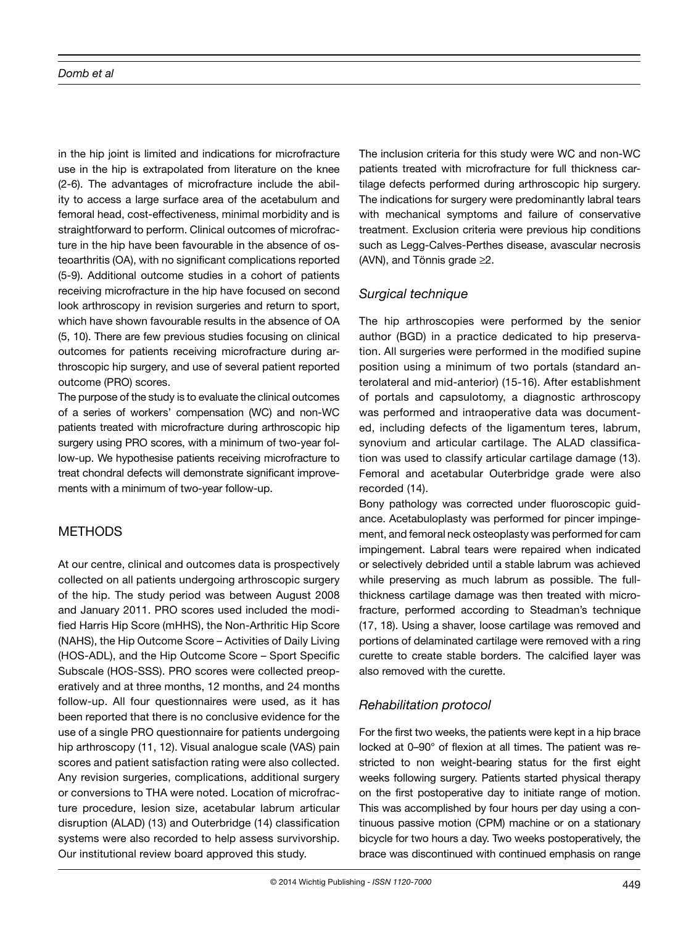in the hip joint is limited and indications for microfracture use in the hip is extrapolated from literature on the knee (2-6). The advantages of microfracture include the ability to access a large surface area of the acetabulum and femoral head, cost-effectiveness, minimal morbidity and is straightforward to perform. Clinical outcomes of microfracture in the hip have been favourable in the absence of osteoarthritis (OA), with no significant complications reported (5-9). Additional outcome studies in a cohort of patients receiving microfracture in the hip have focused on second look arthroscopy in revision surgeries and return to sport, which have shown favourable results in the absence of OA (5, 10). There are few previous studies focusing on clinical outcomes for patients receiving microfracture during arthroscopic hip surgery, and use of several patient reported outcome (PRO) scores.

The purpose of the study is to evaluate the clinical outcomes of a series of workers' compensation (WC) and non-WC patients treated with microfracture during arthroscopic hip surgery using PRO scores, with a minimum of two-year follow-up. We hypothesise patients receiving microfracture to treat chondral defects will demonstrate significant improvements with a minimum of two-year follow-up.

# **METHODS**

At our centre, clinical and outcomes data is prospectively collected on all patients undergoing arthroscopic surgery of the hip. The study period was between August 2008 and January 2011. PRO scores used included the modified Harris Hip Score (mHHS), the Non-Arthritic Hip Score (NAHS), the Hip Outcome Score – Activities of Daily Living (HOS-ADL), and the Hip Outcome Score – Sport Specific Subscale (HOS-SSS). PRO scores were collected preoperatively and at three months, 12 months, and 24 months follow-up. All four questionnaires were used, as it has been reported that there is no conclusive evidence for the use of a single PRO questionnaire for patients undergoing hip arthroscopy (11, 12). Visual analogue scale (VAS) pain scores and patient satisfaction rating were also collected. Any revision surgeries, complications, additional surgery or conversions to THA were noted. Location of microfracture procedure, lesion size, acetabular labrum articular disruption (ALAD) (13) and Outerbridge (14) classification systems were also recorded to help assess survivorship. Our institutional review board approved this study.

The inclusion criteria for this study were WC and non-WC patients treated with microfracture for full thickness cartilage defects performed during arthroscopic hip surgery. The indications for surgery were predominantly labral tears with mechanical symptoms and failure of conservative treatment. Exclusion criteria were previous hip conditions such as Legg-Calves-Perthes disease, avascular necrosis (AVN), and Tönnis grade ≥2.

# *Surgical technique*

The hip arthroscopies were performed by the senior author (BGD) in a practice dedicated to hip preservation. All surgeries were performed in the modified supine position using a minimum of two portals (standard anterolateral and mid-anterior) (15-16). After establishment of portals and capsulotomy, a diagnostic arthroscopy was performed and intraoperative data was documented, including defects of the ligamentum teres, labrum, synovium and articular cartilage. The ALAD classification was used to classify articular cartilage damage (13). Femoral and acetabular Outerbridge grade were also recorded (14).

Bony pathology was corrected under fluoroscopic guidance. Acetabuloplasty was performed for pincer impingement, and femoral neck osteoplasty was performed for cam impingement. Labral tears were repaired when indicated or selectively debrided until a stable labrum was achieved while preserving as much labrum as possible. The fullthickness cartilage damage was then treated with microfracture, performed according to Steadman's technique (17, 18). Using a shaver, loose cartilage was removed and portions of delaminated cartilage were removed with a ring curette to create stable borders. The calcified layer was also removed with the curette.

# *Rehabilitation protocol*

For the first two weeks, the patients were kept in a hip brace locked at 0–90° of flexion at all times. The patient was restricted to non weight-bearing status for the first eight weeks following surgery. Patients started physical therapy on the first postoperative day to initiate range of motion. This was accomplished by four hours per day using a continuous passive motion (CPM) machine or on a stationary bicycle for two hours a day. Two weeks postoperatively, the brace was discontinued with continued emphasis on range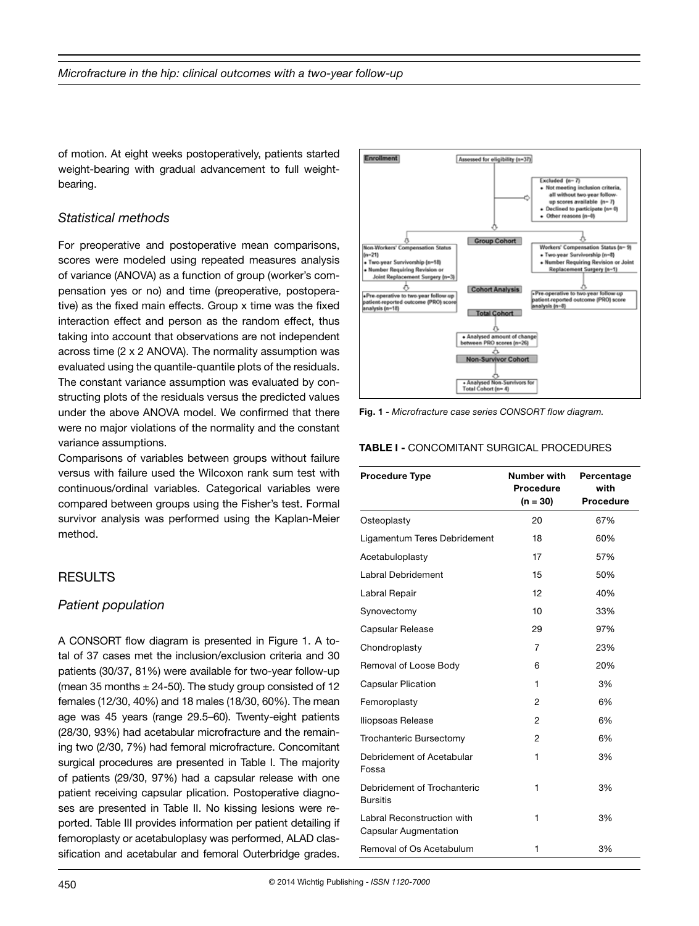of motion. At eight weeks postoperatively, patients started weight-bearing with gradual advancement to full weightbearing.

## *Statistical methods*

For preoperative and postoperative mean comparisons, scores were modeled using repeated measures analysis of variance (ANOVA) as a function of group (worker's compensation yes or no) and time (preoperative, postoperative) as the fixed main effects. Group x time was the fixed interaction effect and person as the random effect, thus taking into account that observations are not independent across time (2 x 2 ANOVA). The normality assumption was evaluated using the quantile-quantile plots of the residuals. The constant variance assumption was evaluated by constructing plots of the residuals versus the predicted values under the above ANOVA model. We confirmed that there were no major violations of the normality and the constant variance assumptions.

Comparisons of variables between groups without failure versus with failure used the Wilcoxon rank sum test with continuous/ordinal variables. Categorical variables were compared between groups using the Fisher's test. Formal survivor analysis was performed using the Kaplan-Meier method.

## **RESULTS**

## *Patient population*

A CONSORT flow diagram is presented in Figure 1. A total of 37 cases met the inclusion/exclusion criteria and 30 patients (30/37, 81%) were available for two-year follow-up (mean 35 months  $\pm$  24-50). The study group consisted of 12 females (12/30, 40%) and 18 males (18/30, 60%). The mean age was 45 years (range 29.5–60). Twenty-eight patients (28/30, 93%) had acetabular microfracture and the remaining two (2/30, 7%) had femoral microfracture. Concomitant surgical procedures are presented in Table I. The majority of patients (29/30, 97%) had a capsular release with one patient receiving capsular plication. Postoperative diagnoses are presented in Table II. No kissing lesions were reported. Table III provides information per patient detailing if femoroplasty or acetabuloplasy was performed, ALAD classification and acetabular and femoral Outerbridge grades.



**Fig. 1 -** *Microfracture case series CONSORT flow diagram.*

#### **TABLE I -** CONCOMITANT SURGICAL PROCEDURES

| <b>Procedure Type</b>                               | Number with<br>Procedure<br>$(n = 30)$ | Percentage<br>with<br><b>Procedure</b> |
|-----------------------------------------------------|----------------------------------------|----------------------------------------|
| Osteoplasty                                         | 20                                     | 67%                                    |
| Ligamentum Teres Debridement                        | 18                                     | 60%                                    |
| Acetabuloplasty                                     | 17                                     | 57%                                    |
| Labral Debridement                                  | 15                                     | 50%                                    |
| Labral Repair                                       | 12                                     | 40%                                    |
| Synovectomy                                         | 10                                     | 33%                                    |
| Capsular Release                                    | 29                                     | 97%                                    |
| Chondroplasty                                       | 7                                      | 23%                                    |
| Removal of Loose Body                               | 6                                      | 20%                                    |
| <b>Capsular Plication</b>                           | 1                                      | 3%                                     |
| Femoroplasty                                        | 2                                      | 6%                                     |
| Iliopsoas Release                                   | 2                                      | 6%                                     |
| Trochanteric Bursectomy                             | 2                                      | 6%                                     |
| Debridement of Acetabular<br>Fossa                  | 1                                      | 3%                                     |
| Debridement of Trochanteric<br><b>Bursitis</b>      | 1                                      | 3%                                     |
| Labral Reconstruction with<br>Capsular Augmentation | 1                                      | 3%                                     |
| Removal of Os Acetabulum                            | 1                                      | 3%                                     |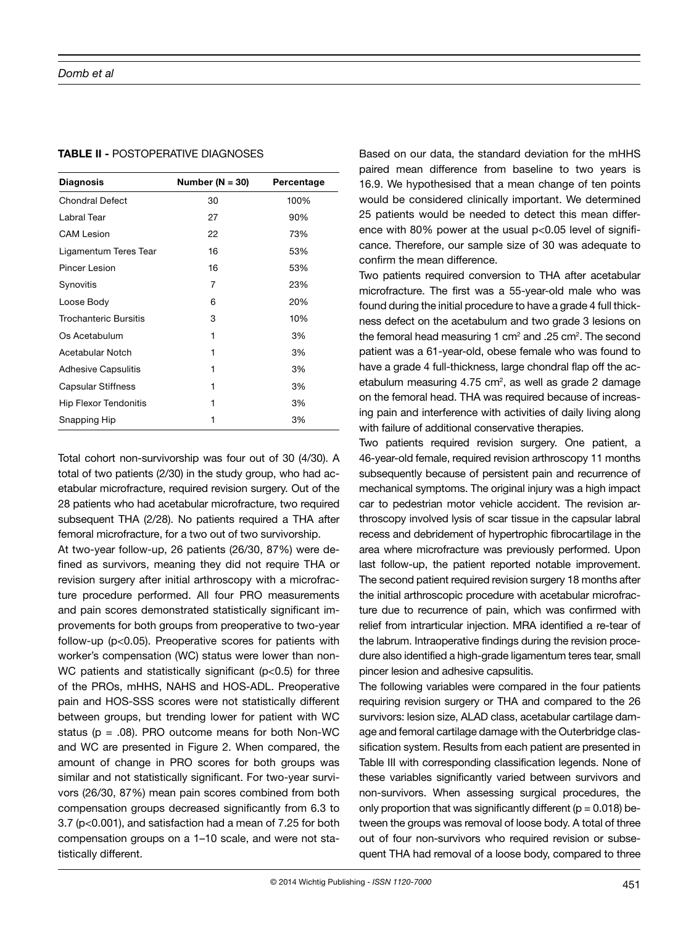#### **TABLE II -** POSTOPERATIVE DIAGNOSES

| Number ( $N = 30$ ) | Percentage |
|---------------------|------------|
| 30                  | 100%       |
| 27                  | 90%        |
| 22                  | 73%        |
| 16                  | 53%        |
| 16                  | 53%        |
| 7                   | 23%        |
| 6                   | 20%        |
| 3                   | 10%        |
| 1                   | 3%         |
| 1                   | 3%         |
| 1                   | 3%         |
| 1                   | 3%         |
| 1                   | 3%         |
| 1                   | 3%         |
|                     |            |

Total cohort non-survivorship was four out of 30 (4/30). A total of two patients (2/30) in the study group, who had acetabular microfracture, required revision surgery. Out of the 28 patients who had acetabular microfracture, two required subsequent THA (2/28). No patients required a THA after femoral microfracture, for a two out of two survivorship.

At two-year follow-up, 26 patients (26/30, 87%) were defined as survivors, meaning they did not require THA or revision surgery after initial arthroscopy with a microfracture procedure performed. All four PRO measurements and pain scores demonstrated statistically significant improvements for both groups from preoperative to two-year follow-up (p<0.05). Preoperative scores for patients with worker's compensation (WC) status were lower than non-WC patients and statistically significant (p<0.5) for three of the PROs, mHHS, NAHS and HOS-ADL. Preoperative pain and HOS-SSS scores were not statistically different between groups, but trending lower for patient with WC status ( $p = .08$ ). PRO outcome means for both Non-WC and WC are presented in Figure 2. When compared, the amount of change in PRO scores for both groups was similar and not statistically significant. For two-year survivors (26/30, 87%) mean pain scores combined from both compensation groups decreased significantly from 6.3 to 3.7 (p<0.001), and satisfaction had a mean of 7.25 for both compensation groups on a 1–10 scale, and were not statistically different.

Based on our data, the standard deviation for the mHHS paired mean difference from baseline to two years is 16.9. We hypothesised that a mean change of ten points would be considered clinically important. We determined 25 patients would be needed to detect this mean difference with 80% power at the usual p<0.05 level of significance. Therefore, our sample size of 30 was adequate to confirm the mean difference.

Two patients required conversion to THA after acetabular microfracture. The first was a 55-year-old male who was found during the initial procedure to have a grade 4 full thickness defect on the acetabulum and two grade 3 lesions on the femoral head measuring 1 cm<sup>2</sup> and .25 cm<sup>2</sup>. The second patient was a 61-year-old, obese female who was found to have a grade 4 full-thickness, large chondral flap off the acetabulum measuring  $4.75 \text{ cm}^2$ , as well as grade 2 damage on the femoral head. THA was required because of increasing pain and interference with activities of daily living along with failure of additional conservative therapies.

Two patients required revision surgery. One patient, a 46-year-old female, required revision arthroscopy 11 months subsequently because of persistent pain and recurrence of mechanical symptoms. The original injury was a high impact car to pedestrian motor vehicle accident. The revision arthroscopy involved lysis of scar tissue in the capsular labral recess and debridement of hypertrophic fibrocartilage in the area where microfracture was previously performed. Upon last follow-up, the patient reported notable improvement. The second patient required revision surgery 18 months after the initial arthroscopic procedure with acetabular microfracture due to recurrence of pain, which was confirmed with relief from intrarticular injection. MRA identified a re-tear of the labrum. Intraoperative findings during the revision procedure also identified a high-grade ligamentum teres tear, small pincer lesion and adhesive capsulitis.

The following variables were compared in the four patients requiring revision surgery or THA and compared to the 26 survivors: lesion size, ALAD class, acetabular cartilage damage and femoral cartilage damage with the Outerbridge classification system. Results from each patient are presented in Table III with corresponding classification legends. None of these variables significantly varied between survivors and non-survivors. When assessing surgical procedures, the only proportion that was significantly different ( $p = 0.018$ ) between the groups was removal of loose body. A total of three out of four non-survivors who required revision or subsequent THA had removal of a loose body, compared to three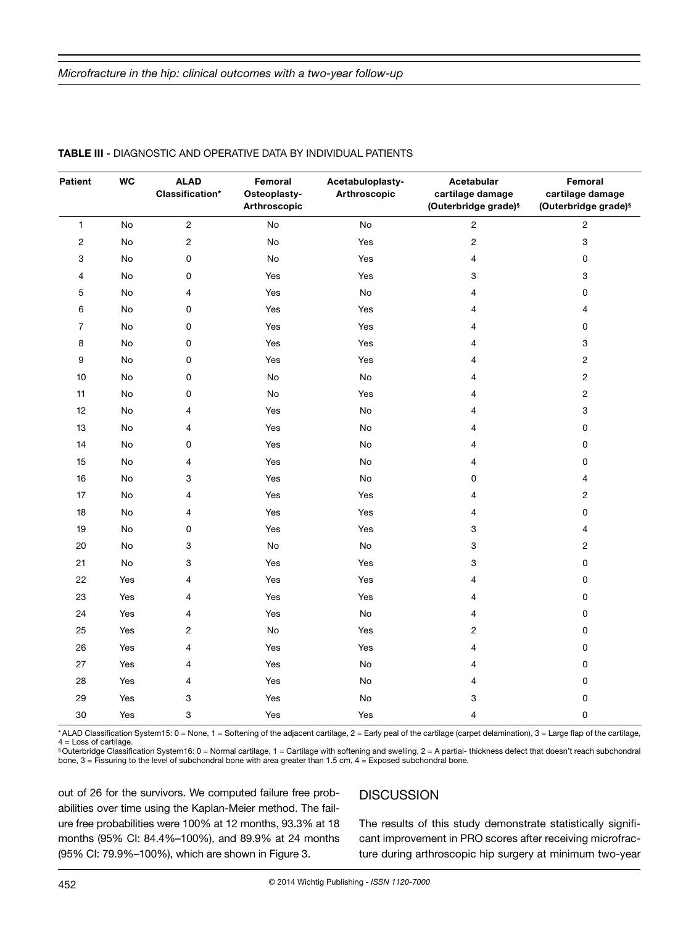| Patient                   | <b>WC</b> | <b>ALAD</b><br>Classification* | Femoral<br>Osteoplasty-<br>Arthroscopic | Acetabuloplasty-<br>Arthroscopic | Acetabular<br>cartilage damage<br>(Outerbridge grade) <sup>§</sup> | Femoral<br>cartilage damage<br>(Outerbridge grade) <sup>§</sup> |
|---------------------------|-----------|--------------------------------|-----------------------------------------|----------------------------------|--------------------------------------------------------------------|-----------------------------------------------------------------|
| $\mathbf{1}$              | No        | $\sqrt{2}$                     | No                                      | No                               | $\overline{2}$                                                     | $\overline{c}$                                                  |
| $\sqrt{2}$                | No        | $\sqrt{2}$                     | No                                      | Yes                              | $\sqrt{2}$                                                         | $\mathbf{3}$                                                    |
| $\ensuremath{\mathsf{3}}$ | No        | 0                              | No                                      | Yes                              | 4                                                                  | 0                                                               |
| 4                         | No        | 0                              | Yes                                     | Yes                              | 3                                                                  | 3                                                               |
| 5                         | No        | 4                              | Yes                                     | No                               | 4                                                                  | 0                                                               |
| 6                         | No        | $\pmb{0}$                      | Yes                                     | Yes                              | 4                                                                  | 4                                                               |
| $\overline{7}$            | No        | 0                              | Yes                                     | Yes                              | 4                                                                  | 0                                                               |
| 8                         | No        | 0                              | Yes                                     | Yes                              | 4                                                                  | $\ensuremath{\mathsf{3}}$                                       |
| 9                         | No        | 0                              | Yes                                     | Yes                              | $\overline{\mathcal{L}}$                                           | $\sqrt{2}$                                                      |
| $10$                      | No        | 0                              | $\mathsf{No}$                           | No                               | $\overline{4}$                                                     | $\sqrt{2}$                                                      |
| 11                        | No        | 0                              | No                                      | Yes                              | 4                                                                  | $\sqrt{2}$                                                      |
| 12                        | No        | 4                              | Yes                                     | No                               | 4                                                                  | $\ensuremath{\mathsf{3}}$                                       |
| 13                        | No        | 4                              | Yes                                     | No                               | 4                                                                  | $\mathsf 0$                                                     |
| 14                        | No        | 0                              | Yes                                     | No                               | 4                                                                  | 0                                                               |
| 15                        | No        | 4                              | Yes                                     | No                               | 4                                                                  | 0                                                               |
| 16                        | No        | $\ensuremath{\mathsf{3}}$      | Yes                                     | $\mathsf{No}$                    | 0                                                                  | 4                                                               |
| 17                        | No        | 4                              | Yes                                     | Yes                              | 4                                                                  | $\sqrt{2}$                                                      |
| 18                        | No        | 4                              | Yes                                     | Yes                              | $\overline{4}$                                                     | $\pmb{0}$                                                       |
| 19                        | No        | $\pmb{0}$                      | Yes                                     | Yes                              | $\ensuremath{\mathsf{3}}$                                          | 4                                                               |
| 20                        | No        | 3                              | No                                      | No                               | $\ensuremath{\mathsf{3}}$                                          | $\overline{c}$                                                  |
| 21                        | No        | 3                              | Yes                                     | Yes                              | $\ensuremath{\mathsf{3}}$                                          | $\pmb{0}$                                                       |
| 22                        | Yes       | 4                              | Yes                                     | Yes                              | 4                                                                  | 0                                                               |
| 23                        | Yes       | $\overline{4}$                 | Yes                                     | Yes                              | 4                                                                  | 0                                                               |
| 24                        | Yes       | 4                              | Yes                                     | No                               | 4                                                                  | 0                                                               |
| 25                        | Yes       | $\overline{c}$                 | No                                      | Yes                              | $\overline{c}$                                                     | 0                                                               |
| 26                        | Yes       | 4                              | Yes                                     | Yes                              | 4                                                                  | 0                                                               |
| 27                        | Yes       | 4                              | Yes                                     | No                               | $\overline{4}$                                                     | 0                                                               |
| 28                        | Yes       | 4                              | Yes                                     | No                               | $\overline{4}$                                                     | $\mathsf 0$                                                     |
| 29                        | Yes       | 3                              | Yes                                     | No                               | 3                                                                  | $\mathsf 0$                                                     |
| $30\,$                    | Yes       | 3                              | Yes                                     | Yes                              | $\overline{4}$                                                     | $\pmb{0}$                                                       |

#### **TABLE III -** DIAGNOSTIC AND OPERATIVE DATA BY INDIVIDUAL PATIENTS

\*ALAD Classification System15: 0 = None, 1 = Softening of the adjacent cartilage, 2 = Early peal of the cartilage (carpet delamination), 3 = Large flap of the cartilage,

4 = Loss of cartilage. § Outerbridge Classification System16: 0 = Normal cartilage, 1 = Cartilage with softening and swelling, 2 = A partial- thickness defect that doesn't reach subchondral bone, 3 = Fissuring to the level of subchondral bone with area greater than 1.5 cm, 4 = Exposed subchondral bone.

out of 26 for the survivors. We computed failure free probabilities over time using the Kaplan-Meier method. The failure free probabilities were 100% at 12 months, 93.3% at 18 months (95% CI: 84.4%–100%), and 89.9% at 24 months (95% CI: 79.9%–100%), which are shown in Figure 3.

## **DISCUSSION**

The results of this study demonstrate statistically significant improvement in PRO scores after receiving microfracture during arthroscopic hip surgery at minimum two-year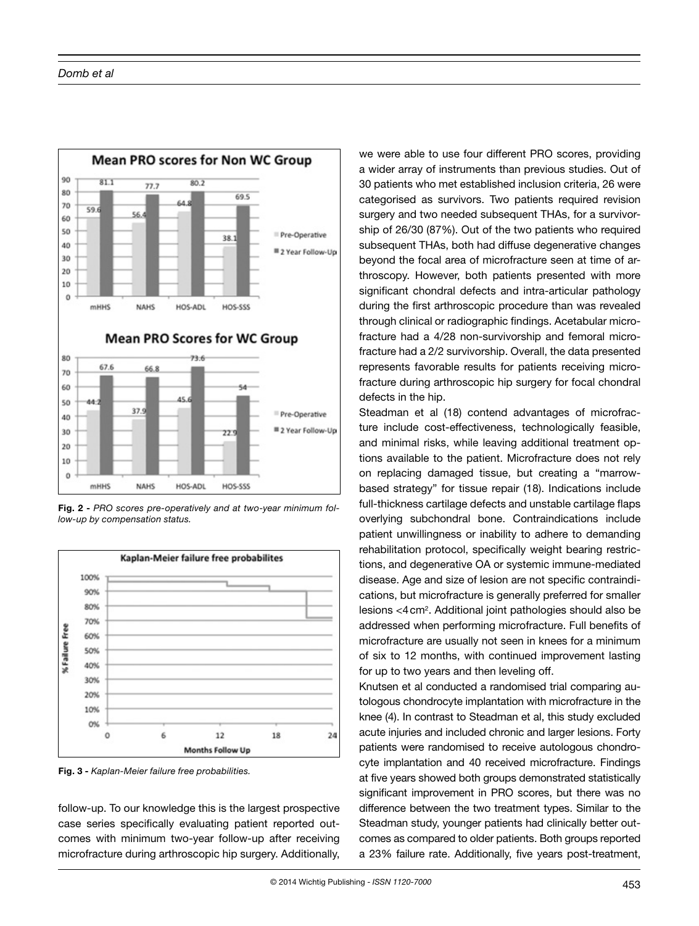

**Fig. 2 -** *PRO scores pre-operatively and at two-year minimum follow-up by compensation status.*



**Fig. 3 -** *Kaplan-Meier failure free probabilities.*

follow-up. To our knowledge this is the largest prospective case series specifically evaluating patient reported outcomes with minimum two-year follow-up after receiving microfracture during arthroscopic hip surgery. Additionally,

we were able to use four different PRO scores, providing a wider array of instruments than previous studies. Out of 30 patients who met established inclusion criteria, 26 were categorised as survivors. Two patients required revision surgery and two needed subsequent THAs, for a survivorship of 26/30 (87%). Out of the two patients who required subsequent THAs, both had diffuse degenerative changes beyond the focal area of microfracture seen at time of arthroscopy. However, both patients presented with more significant chondral defects and intra-articular pathology during the first arthroscopic procedure than was revealed through clinical or radiographic findings. Acetabular microfracture had a 4/28 non-survivorship and femoral microfracture had a 2/2 survivorship. Overall, the data presented represents favorable results for patients receiving microfracture during arthroscopic hip surgery for focal chondral defects in the hip.

Steadman et al (18) contend advantages of microfracture include cost-effectiveness, technologically feasible, and minimal risks, while leaving additional treatment options available to the patient. Microfracture does not rely on replacing damaged tissue, but creating a "marrowbased strategy" for tissue repair (18). Indications include full-thickness cartilage defects and unstable cartilage flaps overlying subchondral bone. Contraindications include patient unwillingness or inability to adhere to demanding rehabilitation protocol, specifically weight bearing restrictions, and degenerative OA or systemic immune-mediated disease. Age and size of lesion are not specific contraindications, but microfracture is generally preferred for smaller lesions <4 cm<sup>2</sup>. Additional joint pathologies should also be addressed when performing microfracture. Full benefits of microfracture are usually not seen in knees for a minimum of six to 12 months, with continued improvement lasting for up to two years and then leveling off.

Knutsen et al conducted a randomised trial comparing autologous chondrocyte implantation with microfracture in the knee (4). In contrast to Steadman et al, this study excluded acute injuries and included chronic and larger lesions. Forty patients were randomised to receive autologous chondrocyte implantation and 40 received microfracture. Findings at five years showed both groups demonstrated statistically significant improvement in PRO scores, but there was no difference between the two treatment types. Similar to the Steadman study, younger patients had clinically better outcomes as compared to older patients. Both groups reported a 23% failure rate. Additionally, five years post-treatment,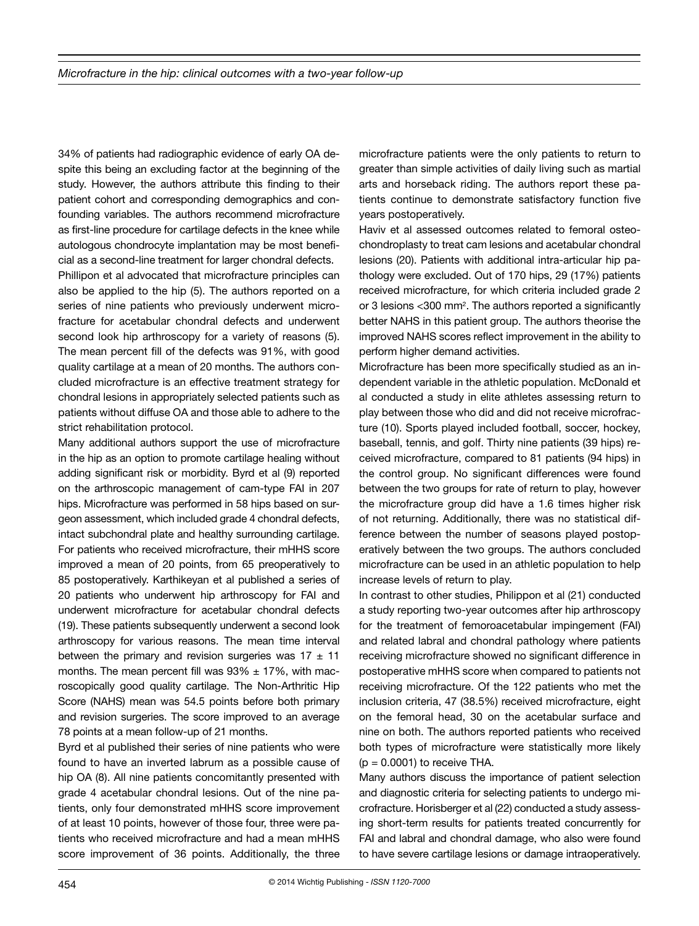34% of patients had radiographic evidence of early OA despite this being an excluding factor at the beginning of the study. However, the authors attribute this finding to their patient cohort and corresponding demographics and confounding variables. The authors recommend microfracture as first-line procedure for cartilage defects in the knee while autologous chondrocyte implantation may be most beneficial as a second-line treatment for larger chondral defects.

Phillipon et al advocated that microfracture principles can also be applied to the hip (5). The authors reported on a series of nine patients who previously underwent microfracture for acetabular chondral defects and underwent second look hip arthroscopy for a variety of reasons (5). The mean percent fill of the defects was 91%, with good quality cartilage at a mean of 20 months. The authors concluded microfracture is an effective treatment strategy for chondral lesions in appropriately selected patients such as patients without diffuse OA and those able to adhere to the strict rehabilitation protocol.

Many additional authors support the use of microfracture in the hip as an option to promote cartilage healing without adding significant risk or morbidity. Byrd et al (9) reported on the arthroscopic management of cam-type FAI in 207 hips. Microfracture was performed in 58 hips based on surgeon assessment, which included grade 4 chondral defects, intact subchondral plate and healthy surrounding cartilage. For patients who received microfracture, their mHHS score improved a mean of 20 points, from 65 preoperatively to 85 postoperatively. Karthikeyan et al published a series of 20 patients who underwent hip arthroscopy for FAI and underwent microfracture for acetabular chondral defects (19). These patients subsequently underwent a second look arthroscopy for various reasons. The mean time interval between the primary and revision surgeries was  $17 \pm 11$ months. The mean percent fill was  $93\% \pm 17\%$ , with macroscopically good quality cartilage. The Non-Arthritic Hip Score (NAHS) mean was 54.5 points before both primary and revision surgeries. The score improved to an average 78 points at a mean follow-up of 21 months.

Byrd et al published their series of nine patients who were found to have an inverted labrum as a possible cause of hip OA (8). All nine patients concomitantly presented with grade 4 acetabular chondral lesions. Out of the nine patients, only four demonstrated mHHS score improvement of at least 10 points, however of those four, three were patients who received microfracture and had a mean mHHS score improvement of 36 points. Additionally, the three

microfracture patients were the only patients to return to greater than simple activities of daily living such as martial arts and horseback riding. The authors report these patients continue to demonstrate satisfactory function five years postoperatively.

Haviv et al assessed outcomes related to femoral osteochondroplasty to treat cam lesions and acetabular chondral lesions (20). Patients with additional intra-articular hip pathology were excluded. Out of 170 hips, 29 (17%) patients received microfracture, for which criteria included grade 2 or 3 lesions < 300 mm<sup>2</sup>. The authors reported a significantly better NAHS in this patient group. The authors theorise the improved NAHS scores reflect improvement in the ability to perform higher demand activities.

Microfracture has been more specifically studied as an independent variable in the athletic population. McDonald et al conducted a study in elite athletes assessing return to play between those who did and did not receive microfracture (10). Sports played included football, soccer, hockey, baseball, tennis, and golf. Thirty nine patients (39 hips) received microfracture, compared to 81 patients (94 hips) in the control group. No significant differences were found between the two groups for rate of return to play, however the microfracture group did have a 1.6 times higher risk of not returning. Additionally, there was no statistical difference between the number of seasons played postoperatively between the two groups. The authors concluded microfracture can be used in an athletic population to help increase levels of return to play.

In contrast to other studies, Philippon et al (21) conducted a study reporting two-year outcomes after hip arthroscopy for the treatment of femoroacetabular impingement (FAI) and related labral and chondral pathology where patients receiving microfracture showed no significant difference in postoperative mHHS score when compared to patients not receiving microfracture. Of the 122 patients who met the inclusion criteria, 47 (38.5%) received microfracture, eight on the femoral head, 30 on the acetabular surface and nine on both. The authors reported patients who received both types of microfracture were statistically more likely  $(p = 0.0001)$  to receive THA.

Many authors discuss the importance of patient selection and diagnostic criteria for selecting patients to undergo microfracture. Horisberger et al (22) conducted a study assessing short-term results for patients treated concurrently for FAI and labral and chondral damage, who also were found to have severe cartilage lesions or damage intraoperatively.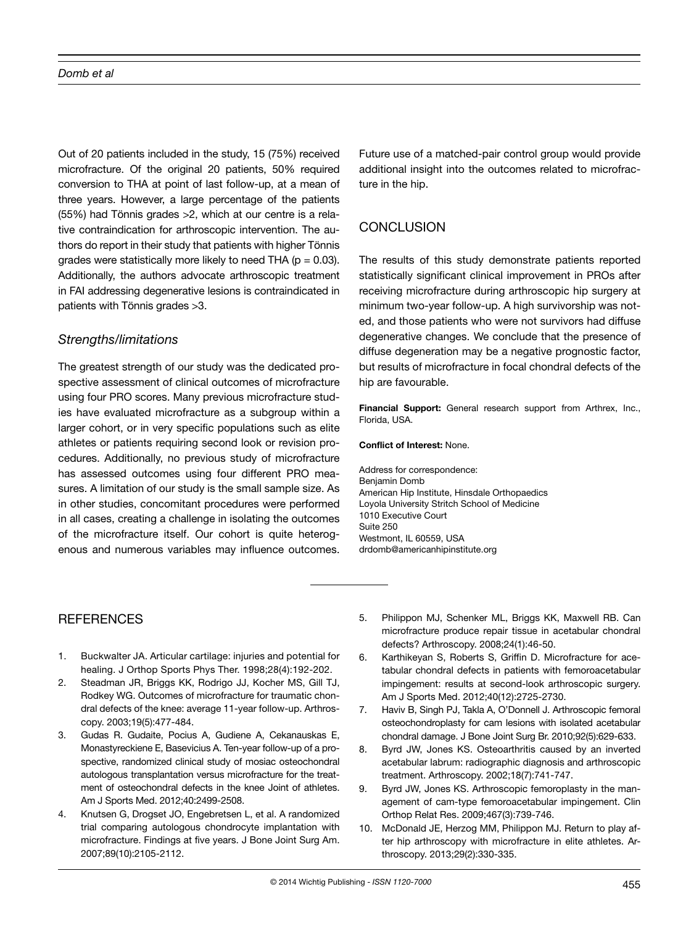Out of 20 patients included in the study, 15 (75%) received microfracture. Of the original 20 patients, 50% required conversion to THA at point of last follow-up, at a mean of three years. However, a large percentage of the patients (55%) had Tönnis grades >2, which at our centre is a relative contraindication for arthroscopic intervention. The authors do report in their study that patients with higher Tönnis grades were statistically more likely to need THA ( $p = 0.03$ ). Additionally, the authors advocate arthroscopic treatment in FAI addressing degenerative lesions is contraindicated in patients with Tönnis grades >3.

## *Strengths/limitations*

The greatest strength of our study was the dedicated prospective assessment of clinical outcomes of microfracture using four PRO scores. Many previous microfracture studies have evaluated microfracture as a subgroup within a larger cohort, or in very specific populations such as elite athletes or patients requiring second look or revision procedures. Additionally, no previous study of microfracture has assessed outcomes using four different PRO measures. A limitation of our study is the small sample size. As in other studies, concomitant procedures were performed in all cases, creating a challenge in isolating the outcomes of the microfracture itself. Our cohort is quite heterogenous and numerous variables may influence outcomes.

Future use of a matched-pair control group would provide additional insight into the outcomes related to microfracture in the hip.

## **CONCLUSION**

The results of this study demonstrate patients reported statistically significant clinical improvement in PROs after receiving microfracture during arthroscopic hip surgery at minimum two-year follow-up. A high survivorship was noted, and those patients who were not survivors had diffuse degenerative changes. We conclude that the presence of diffuse degeneration may be a negative prognostic factor, but results of microfracture in focal chondral defects of the hip are favourable.

**Financial Support:** General research support from Arthrex, Inc., Florida, USA.

#### **Conflict of Interest:** None.

Address for correspondence: Benjamin Domb American Hip Institute, Hinsdale Orthopaedics Loyola University Stritch School of Medicine 1010 Executive Court Suite 250 Westmont, IL 60559, USA drdomb@americanhipinstitute.org

## **REFERENCES**

- 1. Buckwalter JA. Articular cartilage: injuries and potential for healing. J Orthop Sports Phys Ther. 1998;28(4):192-202.
- 2. Steadman JR, Briggs KK, Rodrigo JJ, Kocher MS, Gill TJ, Rodkey WG. Outcomes of microfracture for traumatic chondral defects of the knee: average 11-year follow-up. Arthroscopy. 2003;19(5):477-484.
- 3. Gudas R. Gudaite, Pocius A, Gudiene A, Cekanauskas E, Monastyreckiene E, Basevicius A. Ten-year follow-up of a prospective, randomized clinical study of mosiac osteochondral autologous transplantation versus microfracture for the treatment of osteochondral defects in the knee Joint of athletes. Am J Sports Med. 2012;40:2499-2508.
- 4. Knutsen G, Drogset JO, Engebretsen L, et al. A randomized trial comparing autologous chondrocyte implantation with microfracture. Findings at five years. J Bone Joint Surg Am. 2007;89(10):2105-2112.
- 5. Philippon MJ, Schenker ML, Briggs KK, Maxwell RB. Can microfracture produce repair tissue in acetabular chondral defects? Arthroscopy. 2008;24(1):46-50.
- 6. Karthikeyan S, Roberts S, Griffin D. Microfracture for acetabular chondral defects in patients with femoroacetabular impingement: results at second-look arthroscopic surgery. Am J Sports Med. 2012;40(12):2725-2730.
- 7. Haviv B, Singh PJ, Takla A, O'Donnell J. Arthroscopic femoral osteochondroplasty for cam lesions with isolated acetabular chondral damage. J Bone Joint Surg Br. 2010;92(5):629-633.
- 8. Byrd JW, Jones KS. Osteoarthritis caused by an inverted acetabular labrum: radiographic diagnosis and arthroscopic treatment. Arthroscopy. 2002;18(7):741-747.
- 9. Byrd JW, Jones KS. Arthroscopic femoroplasty in the management of cam-type femoroacetabular impingement. Clin Orthop Relat Res. 2009;467(3):739-746.
- 10. McDonald JE, Herzog MM, Philippon MJ. Return to play after hip arthroscopy with microfracture in elite athletes. Arthroscopy. 2013;29(2):330-335.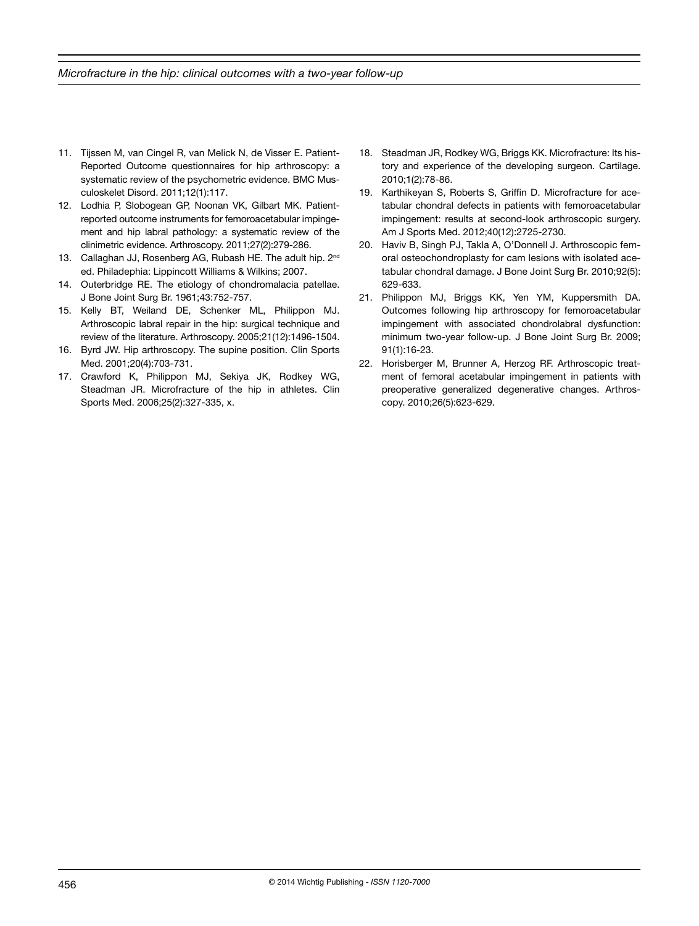- 11. Tijssen M, van Cingel R, van Melick N, de Visser E. Patient-Reported Outcome questionnaires for hip arthroscopy: a systematic review of the psychometric evidence. BMC Musculoskelet Disord. 2011;12(1):117.
- 12. Lodhia P, Slobogean GP, Noonan VK, Gilbart MK. Patientreported outcome instruments for femoroacetabular impingement and hip labral pathology: a systematic review of the clinimetric evidence. Arthroscopy. 2011;27(2):279-286.
- 13. Callaghan JJ, Rosenberg AG, Rubash HE. The adult hip. 2<sup>nd</sup> ed. Philadephia: Lippincott Williams & Wilkins; 2007.
- 14. Outerbridge RE. The etiology of chondromalacia patellae. J Bone Joint Surg Br. 1961;43:752-757.
- 15. Kelly BT, Weiland DE, Schenker ML, Philippon MJ. Arthroscopic labral repair in the hip: surgical technique and review of the literature. Arthroscopy. 2005;21(12):1496-1504.
- 16. Byrd JW. Hip arthroscopy. The supine position. Clin Sports Med. 2001;20(4):703-731.
- 17. Crawford K, Philippon MJ, Sekiya JK, Rodkey WG, Steadman JR. Microfracture of the hip in athletes. Clin Sports Med. 2006;25(2):327-335, x.
- 18. Steadman JR, Rodkey WG, Briggs KK. Microfracture: Its history and experience of the developing surgeon. Cartilage. 2010;1(2):78-86.
- 19. Karthikeyan S, Roberts S, Griffin D. Microfracture for acetabular chondral defects in patients with femoroacetabular impingement: results at second-look arthroscopic surgery. Am J Sports Med. 2012;40(12):2725-2730.
- 20. Haviv B, Singh PJ, Takla A, O'Donnell J. Arthroscopic femoral osteochondroplasty for cam lesions with isolated acetabular chondral damage. J Bone Joint Surg Br. 2010;92(5): 629-633.
- 21. Philippon MJ, Briggs KK, Yen YM, Kuppersmith DA. Outcomes following hip arthroscopy for femoroacetabular impingement with associated chondrolabral dysfunction: minimum two-year follow-up. J Bone Joint Surg Br. 2009; 91(1):16-23.
- 22. Horisberger M, Brunner A, Herzog RF. Arthroscopic treatment of femoral acetabular impingement in patients with preoperative generalized degenerative changes. Arthroscopy. 2010;26(5):623-629.